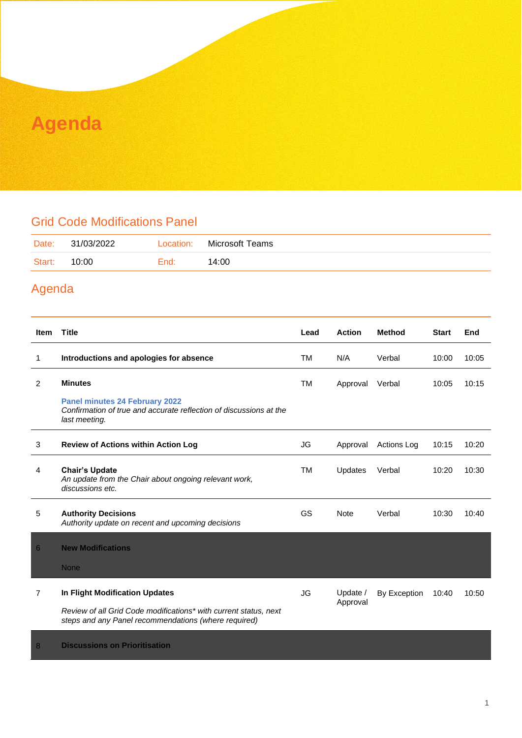### **Agenda**

#### Grid Code Modifications Panel

| Date:  | 31/03/2022 | Location: | Microsoft Teams |
|--------|------------|-----------|-----------------|
| Start: | 10:00      | End:      | 14:00           |

#### Agenda

| <b>Item</b>    | <b>Title</b>                                                                                                                                               | Lead      | <b>Action</b>        | <b>Method</b>      | <b>Start</b> | End   |
|----------------|------------------------------------------------------------------------------------------------------------------------------------------------------------|-----------|----------------------|--------------------|--------------|-------|
| 1              | Introductions and apologies for absence                                                                                                                    | TM        | N/A                  | Verbal             | 10:00        | 10:05 |
| 2              | <b>Minutes</b>                                                                                                                                             | TM        | Approval             | Verbal             | 10:05        | 10:15 |
|                | <b>Panel minutes 24 February 2022</b><br>Confirmation of true and accurate reflection of discussions at the<br>last meeting.                               |           |                      |                    |              |       |
| 3              | <b>Review of Actions within Action Log</b>                                                                                                                 | JG        | Approval             | <b>Actions Log</b> | 10:15        | 10:20 |
| 4              | <b>Chair's Update</b><br>An update from the Chair about ongoing relevant work,<br>discussions etc.                                                         | TM        | Updates              | Verbal             | 10:20        | 10:30 |
| 5              | <b>Authority Decisions</b><br>Authority update on recent and upcoming decisions                                                                            | GS        | <b>Note</b>          | Verbal             | 10:30        | 10:40 |
| 6              | <b>New Modifications</b>                                                                                                                                   |           |                      |                    |              |       |
|                | <b>None</b>                                                                                                                                                |           |                      |                    |              |       |
| $\overline{7}$ | In Flight Modification Updates<br>Review of all Grid Code modifications* with current status, next<br>steps and any Panel recommendations (where required) | <b>JG</b> | Update /<br>Approval | By Exception       | 10:40        | 10:50 |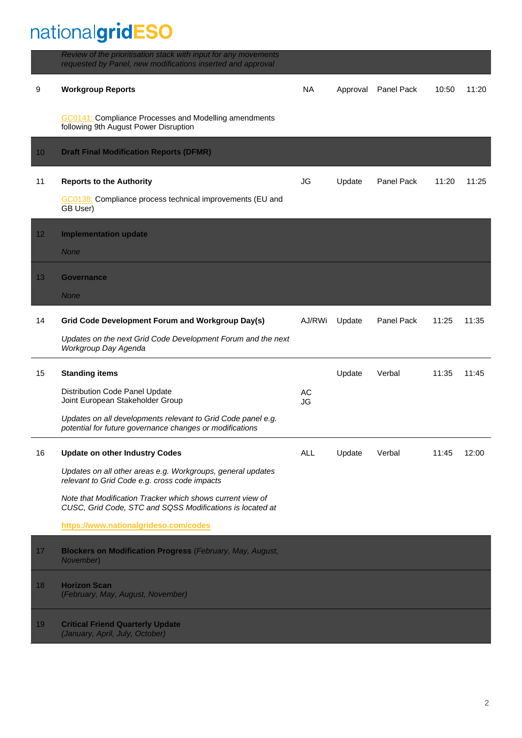# nationalgridESO

|    | Review of the prioritisation stack with input for any movements<br>requested by Panel, new modifications inserted and approval |            |          |            |       |       |
|----|--------------------------------------------------------------------------------------------------------------------------------|------------|----------|------------|-------|-------|
| 9  | <b>Workgroup Reports</b>                                                                                                       | <b>NA</b>  | Approval | Panel Pack | 10:50 | 11:20 |
|    | <b>GC0141:</b> Compliance Processes and Modelling amendments<br>following 9th August Power Disruption                          |            |          |            |       |       |
| 10 | <b>Draft Final Modification Reports (DFMR)</b>                                                                                 |            |          |            |       |       |
| 11 | <b>Reports to the Authority</b>                                                                                                | JG         | Update   | Panel Pack | 11:20 | 11:25 |
|    | GC0138: Compliance process technical improvements (EU and<br>GB User)                                                          |            |          |            |       |       |
| 12 | <b>Implementation update</b>                                                                                                   |            |          |            |       |       |
|    | <b>None</b>                                                                                                                    |            |          |            |       |       |
| 13 | <b>Governance</b>                                                                                                              |            |          |            |       |       |
|    | <b>None</b>                                                                                                                    |            |          |            |       |       |
| 14 | Grid Code Development Forum and Workgroup Day(s)                                                                               | AJ/RWi     | Update   | Panel Pack | 11:25 | 11:35 |
|    | Updates on the next Grid Code Development Forum and the next<br>Workgroup Day Agenda                                           |            |          |            |       |       |
| 15 | <b>Standing items</b>                                                                                                          |            | Update   | Verbal     | 11:35 | 11:45 |
|    | <b>Distribution Code Panel Update</b><br>Joint European Stakeholder Group                                                      | AC<br>JG   |          |            |       |       |
|    | Updates on all developments relevant to Grid Code panel e.g.<br>potential for future governance changes or modifications       |            |          |            |       |       |
| 16 | <b>Update on other Industry Codes</b>                                                                                          | <b>ALL</b> | Update   | Verbal     | 11:45 | 12:00 |
|    | Updates on all other areas e.g. Workgroups, general updates<br>relevant to Grid Code e.g. cross code impacts                   |            |          |            |       |       |
|    | Note that Modification Tracker which shows current view of<br>CUSC, Grid Code, STC and SQSS Modifications is located at        |            |          |            |       |       |
|    | https://www.nationalgrideso.com/codes                                                                                          |            |          |            |       |       |
| 17 | <b>Blockers on Modification Progress (February, May, August,</b><br>November)                                                  |            |          |            |       |       |
| 18 | <b>Horizon Scan</b><br>(February, May, August, November)                                                                       |            |          |            |       |       |
| 19 | <b>Critical Friend Quarterly Update</b><br>(January, April, July, October)                                                     |            |          |            |       |       |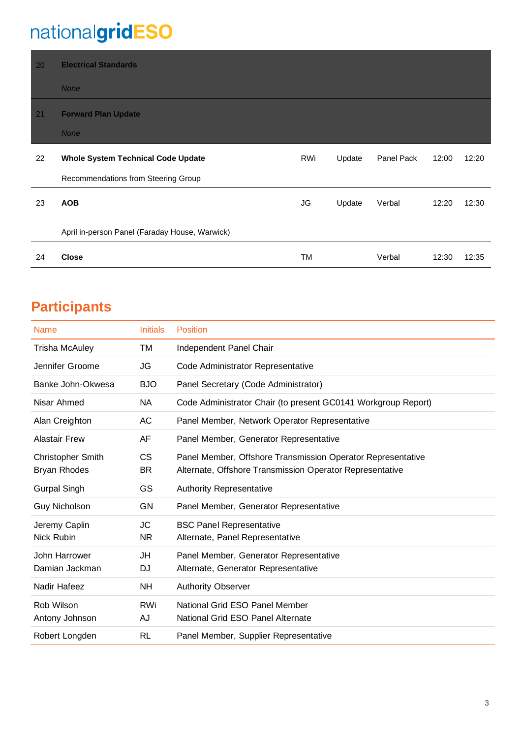## nationalgridESO

| 20 | <b>Electrical Standards</b>                    |     |        |            |       |       |
|----|------------------------------------------------|-----|--------|------------|-------|-------|
|    | <b>None</b>                                    |     |        |            |       |       |
| 21 | <b>Forward Plan Update</b>                     |     |        |            |       |       |
|    | <b>None</b>                                    |     |        |            |       |       |
| 22 | <b>Whole System Technical Code Update</b>      | RWi | Update | Panel Pack | 12:00 | 12:20 |
|    | Recommendations from Steering Group            |     |        |            |       |       |
| 23 | <b>AOB</b>                                     | JG  | Update | Verbal     | 12:20 | 12:30 |
|    | April in-person Panel (Faraday House, Warwick) |     |        |            |       |       |
| 24 | <b>Close</b>                                   | TM  |        | Verbal     | 12:30 | 12:35 |

### **Participants**

| Name                                            | <b>Initials</b>  | <b>Position</b>                                                                                                         |
|-------------------------------------------------|------------------|-------------------------------------------------------------------------------------------------------------------------|
| <b>Trisha McAuley</b>                           | ТM               | Independent Panel Chair                                                                                                 |
| Jennifer Groome                                 | JG               | Code Administrator Representative                                                                                       |
| Banke John-Okwesa                               | <b>BJO</b>       | Panel Secretary (Code Administrator)                                                                                    |
| Nisar Ahmed                                     | <b>NA</b>        | Code Administrator Chair (to present GC0141 Workgroup Report)                                                           |
| Alan Creighton                                  | AC               | Panel Member, Network Operator Representative                                                                           |
| <b>Alastair Frew</b>                            | AF               | Panel Member, Generator Representative                                                                                  |
| <b>Christopher Smith</b><br><b>Bryan Rhodes</b> | СS<br><b>BR</b>  | Panel Member, Offshore Transmission Operator Representative<br>Alternate, Offshore Transmission Operator Representative |
| <b>Gurpal Singh</b>                             | GS               | <b>Authority Representative</b>                                                                                         |
| <b>Guy Nicholson</b>                            | GN               | Panel Member, Generator Representative                                                                                  |
| Jeremy Caplin<br>Nick Rubin                     | JC<br><b>NR</b>  | <b>BSC Panel Representative</b><br>Alternate, Panel Representative                                                      |
| John Harrower<br>Damian Jackman                 | JH<br>DJ         | Panel Member, Generator Representative<br>Alternate, Generator Representative                                           |
| Nadir Hafeez                                    | <b>NH</b>        | Authority Observer                                                                                                      |
| Rob Wilson<br>Antony Johnson                    | <b>RWi</b><br>AJ | National Grid ESO Panel Member<br>National Grid ESO Panel Alternate                                                     |
| Robert Longden                                  | <b>RL</b>        | Panel Member, Supplier Representative                                                                                   |